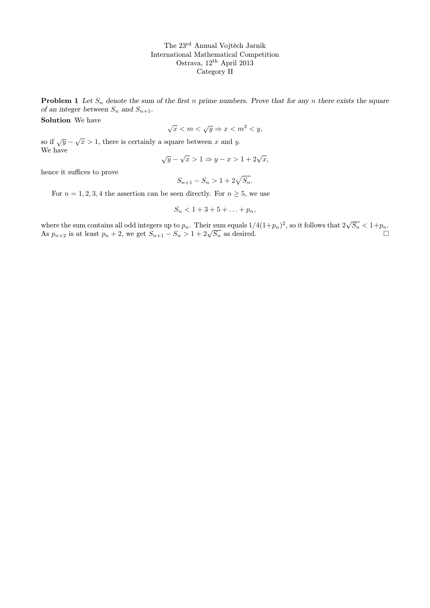The 23rd Annual Vojtěch Jarník International Mathematical Competition Ostrava, 12<sup>th</sup> April 2013 Category II

**Problem 1** Let  $S_n$  denote the sum of the first n prime numbers. Prove that for any n there exists the square of an integer between  $S_n$  and  $S_{n+1}$ .

Solution We have

$$
\sqrt{x} < m < \sqrt{y} \Rightarrow x < m^2 < y,
$$

so if  $\sqrt{y} - \sqrt{x} > 1$ , there is certainly a square between x and y. We have √ √

$$
\sqrt{y} - \sqrt{x} > 1 \Rightarrow y - x > 1 + 2\sqrt{x},
$$

hence it suffices to prove

$$
S_{n+1} - S_n > 1 + 2\sqrt{S_n}.
$$

For  $n = 1, 2, 3, 4$  the assertion can be seen directly. For  $n \geq 5$ , we use

$$
S_n < 1 + 3 + 5 + \ldots + p_n,
$$

where the sum contains all odd integers up to  $p_n$ . Their sum equals  $1/4(1+p_n)^2$ , so it follows that  $2\sqrt{S_n} < 1+p_n$ . where the sum contains an odd integers up to  $p_n$ . Their sum equals  $1/4(1+p_n)$ , so it follows that  $2\sqrt{5n} < 1+p_n$ .<br>As  $p_{n+2}$  is at least  $p_n + 2$ , we get  $S_{n+1} - S_n > 1 + 2\sqrt{S_n}$  as desired.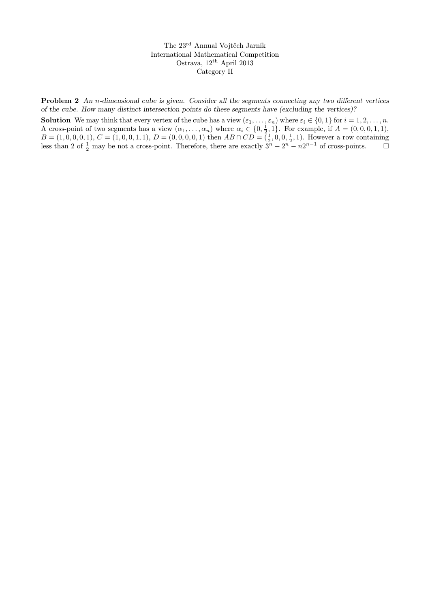The 23rd Annual Vojtěch Jarník International Mathematical Competition Ostrava, 12th April 2013 Category II

Problem 2 An n-dimensional cube is given. Consider all the segments connecting any two different vertices of the cube. How many distinct intersection points do these segments have (excluding the vertices)?

**Solution** We may think that every vertex of the cube has a view  $(\varepsilon_1, \ldots, \varepsilon_n)$  where  $\varepsilon_i \in \{0, 1\}$  for  $i = 1, 2, \ldots, n$ . A cross-point of two segments has a view  $(\alpha_1, \ldots, \alpha_n)$  where  $\alpha_i \in \{0, \frac{1}{2}, 1\}$ . For example, if  $A = (0, 0, 0, 1, 1)$ ,  $B = (1, 0, 0, 0, 1), C = (1, 0, 0, 1, 1), D = (0, 0, 0, 0, 1)$  then  $AB \cap CD = (\frac{1}{2}, 0, 0, \frac{1}{2}, 1)$ . However a row containing less than 2 of  $\frac{1}{2}$  may be not a cross-point. Therefore, there are exactly  $3^n - 2^n - n2^{n-1}$  of cross-points.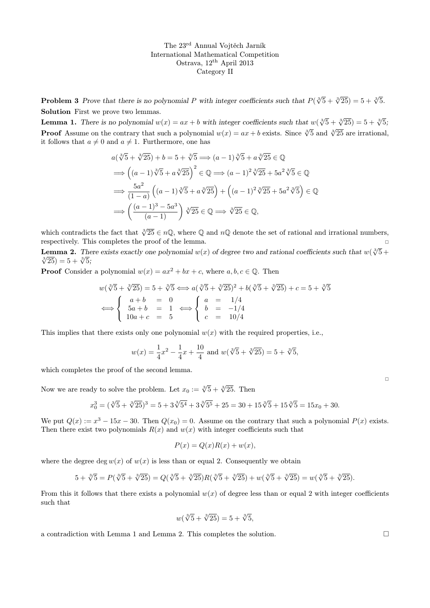The 23rd Annual Vojtěch Jarník International Mathematical Competition Ostrava, 12th April 2013 Category II

**Problem 3** Prove that there is no polynomial P with integer coefficients such that  $P(\sqrt[3]{5} + \sqrt[3]{25}) = 5 + \sqrt[3]{5}$ . Solution First we prove two lemmas.

**Lemma 1.** There is no polynomial  $w(x) = ax + b$  with integer coefficients such that  $w(\sqrt[3]{5} + \sqrt[3]{25}) = 5 + \sqrt[3]{5}$ ; **Proof** Assume on the contrary that such a polynomial  $w(x) = ax + b$  exists. Since  $\sqrt[3]{5}$  and  $\sqrt[3]{25}$  are irrational, it follows that  $a \neq 0$  and  $a \neq 1$ . Furthermore, one has

$$
a(\sqrt[3]{5} + \sqrt[3]{25}) + b = 5 + \sqrt[3]{5} \implies (a - 1)\sqrt[3]{5} + a\sqrt[3]{25} \in \mathbb{Q}
$$
  
\n
$$
\implies ((a - 1)\sqrt[3]{5} + a\sqrt[3]{25})^2 \in \mathbb{Q} \implies (a - 1)^2\sqrt[3]{25} + 5a^2\sqrt[3]{5} \in \mathbb{Q}
$$
  
\n
$$
\implies \frac{5a^2}{(1 - a)}((a - 1)\sqrt[3]{5} + a\sqrt[3]{25}) + ((a - 1)^2\sqrt[3]{25} + 5a^2\sqrt[3]{5}) \in \mathbb{Q}
$$
  
\n
$$
\implies ((\frac{(a - 1)^3 - 5a^3}{(a - 1)})\sqrt[3]{25} \in \mathbb{Q} \implies \sqrt[3]{25} \in \mathbb{Q},
$$

which contradicts the fact that  $\sqrt[3]{25} \in n\mathbb{Q}$ , where  $\mathbb Q$  and  $n\mathbb Q$  denote the set of rational and irrational numbers, respectively. This completes the proof of the lemma.

**Lemma 2.** There exists exactly one polynomial  $w(x)$  of degree two and rational coefficients such that  $w(\sqrt[3]{5} + \sqrt[3]{5})$  $\frac{25}{25}$ ) = 5 +  $\sqrt[3]{5}$ ;

**Proof** Consider a polynomial  $w(x) = ax^2 + bx + c$ , where  $a, b, c \in \mathbb{Q}$ . Then

$$
w(\sqrt[3]{5} + \sqrt[3]{25}) = 5 + \sqrt[3]{5} \Longleftrightarrow a(\sqrt[3]{5} + \sqrt[3]{25})^2 + b(\sqrt[3]{5} + \sqrt[3]{25}) + c = 5 + \sqrt[3]{5}
$$
  

$$
\Longleftrightarrow \begin{cases} a+b = 0 \\ 5a+b = 1 \\ 10a+c = 5 \end{cases} \Longleftrightarrow \begin{cases} a = 1/4 \\ b = -1/4 \\ c = 10/4 \end{cases}
$$

This implies that there exists only one polynomial  $w(x)$  with the required properties, i.e.,

$$
w(x) = \frac{1}{4}x^2 - \frac{1}{4}x + \frac{10}{4}
$$
 and  $w(\sqrt[3]{5} + \sqrt[3]{25}) = 5 + \sqrt[3]{5}$ ,

which completes the proof of the second lemma.

Now we are ready to solve the problem. Let  $x_0 := \sqrt[3]{5} + \sqrt[3]{25}$ . Then

$$
x_0^3 = (\sqrt[3]{5} + \sqrt[3]{25})^3 = 5 + 3\sqrt[3]{5^4} + 3\sqrt[3]{5^5} + 25 = 30 + 15\sqrt[3]{5} + 15\sqrt[3]{5} = 15x_0 + 30.
$$

We put  $Q(x) := x^3 - 15x - 30$ . Then  $Q(x_0) = 0$ . Assume on the contrary that such a polynomial  $P(x)$  exists. Then there exist two polynomials  $R(x)$  and  $w(x)$  with integer coefficients such that

$$
P(x) = Q(x)R(x) + w(x),
$$

where the degree deg  $w(x)$  of  $w(x)$  is less than or equal 2. Consequently we obtain

$$
5 + \sqrt[3]{5} = P(\sqrt[3]{5} + \sqrt[3]{25}) = Q(\sqrt[3]{5} + \sqrt[3]{25})R(\sqrt[3]{5} + \sqrt[3]{25}) + w(\sqrt[3]{5} + \sqrt[3]{25}) = w(\sqrt[3]{5} + \sqrt[3]{25}).
$$

From this it follows that there exists a polynomial  $w(x)$  of degree less than or equal 2 with integer coefficients such that

$$
w(\sqrt[3]{5} + \sqrt[3]{25}) = 5 + \sqrt[3]{5},
$$

a contradiction with Lemma 1 and Lemma 2. This completes the solution.  $\Box$ 

 $\Box$